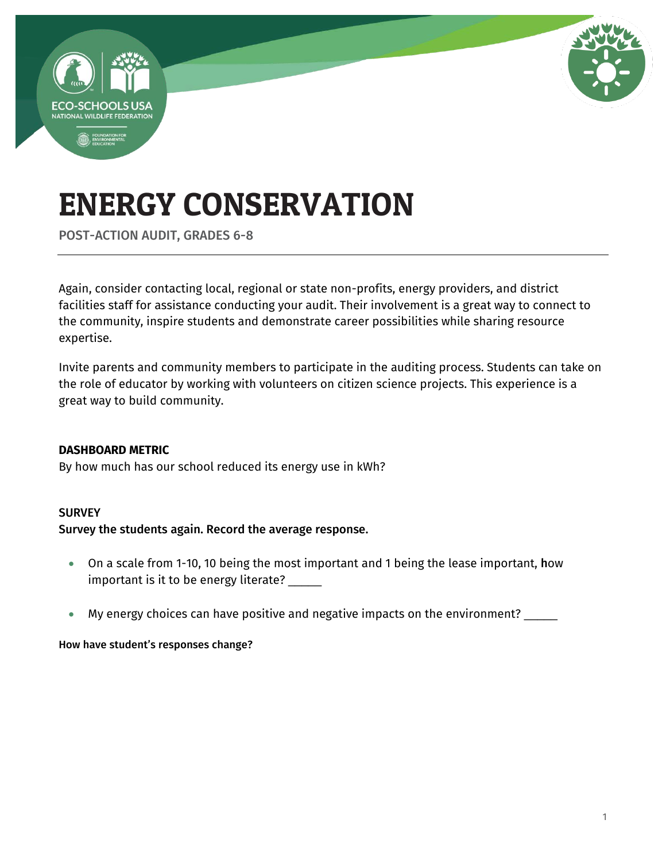

POST-ACTION AUDIT, GRADES 6-8

Again, consider contacting local, regional or state non-profits, energy providers, and district facilities staff for assistance conducting your audit. Their involvement is a great way to connect to the community, inspire students and demonstrate career possibilities while sharing resource expertise.

Invite parents and community members to participate in the auditing process. Students can take on the role of educator by working with volunteers on citizen science projects. This experience is a great way to build community.

#### **DASHBOARD METRIC**

By how much has our school reduced its energy use in kWh?

#### **SURVEY**

#### Survey the students again. Record the average response.

- On a scale from 1-10, 10 being the most important and 1 being the lease important, how important is it to be energy literate? \_\_\_\_\_
- My energy choices can have positive and negative impacts on the environment? \_\_\_\_\_

#### How have student's responses change?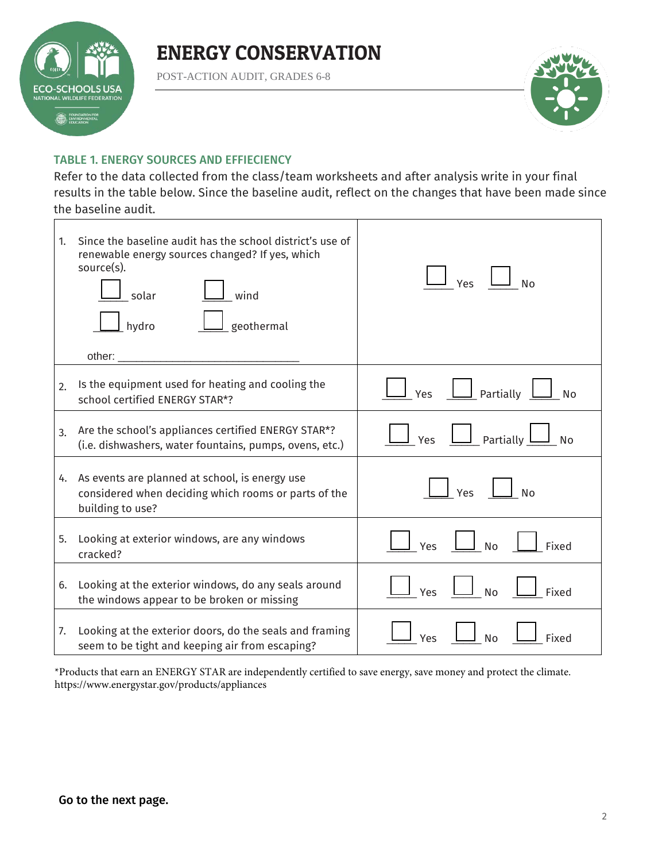

POST-ACTION AUDIT, GRADES 6-8



#### TABLE 1. ENERGY SOURCES AND EFFIECIENCY

Refer to the data collected from the class/team worksheets and after analysis write in your final results in the table below. Since the baseline audit, reflect on the changes that have been made since the baseline audit.

| 1 <sup>1</sup> | Since the baseline audit has the school district's use of<br>renewable energy sources changed? If yes, which<br>source(s).<br>wind<br>solar<br>geothermal<br>$\mathsf{\underline{L}}$ hydro<br>other: $\_\_$ | Yes<br><b>No</b>                                              |
|----------------|--------------------------------------------------------------------------------------------------------------------------------------------------------------------------------------------------------------|---------------------------------------------------------------|
| 2.             | Is the equipment used for heating and cooling the<br>school certified ENERGY STAR*?                                                                                                                          | $\boxed{\phantom{1}}$ Partially<br>Yes<br><b>No</b>           |
| 3.             | Are the school's appliances certified ENERGY STAR*?<br>(i.e. dishwashers, water fountains, pumps, ovens, etc.)                                                                                               | $\Box$ Partially $\underline{\mathsf{L}}$<br>Yes<br><b>No</b> |
|                | 4. As events are planned at school, is energy use<br>considered when deciding which rooms or parts of the<br>building to use?                                                                                | Yes<br><b>No</b>                                              |
| 5.             | Looking at exterior windows, are any windows<br>cracked?                                                                                                                                                     | <b>No</b><br>Fixed<br>Yes                                     |
| 6.             | Looking at the exterior windows, do any seals around<br>the windows appear to be broken or missing                                                                                                           | <b>No</b><br>Yes<br>Fixed                                     |
|                | 7. Looking at the exterior doors, do the seals and framing<br>seem to be tight and keeping air from escaping?                                                                                                | <b>No</b><br>Fixed<br>Yes                                     |

\*Products that earn an ENERGY STAR are independently certified to save energy, save money and protect the climate. <https://www.energystar.gov/products/appliances>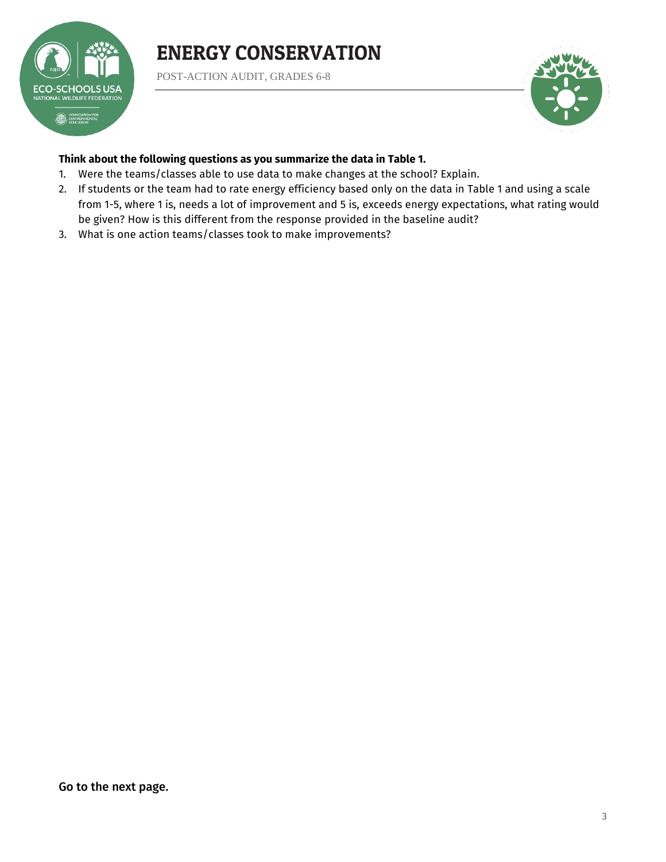

POST-ACTION AUDIT, GRADES 6-8



#### **Think about the following questions as you summarize the data in Table 1.**

- 1. Were the teams/classes able to use data to make changes at the school? Explain.
- 2. If students or the team had to rate energy efficiency based only on the data in Table 1 and using a scale from 1-5, where 1 is, needs a lot of improvement and 5 is, exceeds energy expectations, what rating would be given? How is this different from the response provided in the baseline audit?
- 3. What is one action teams/classes took to make improvements?

Go to the next page.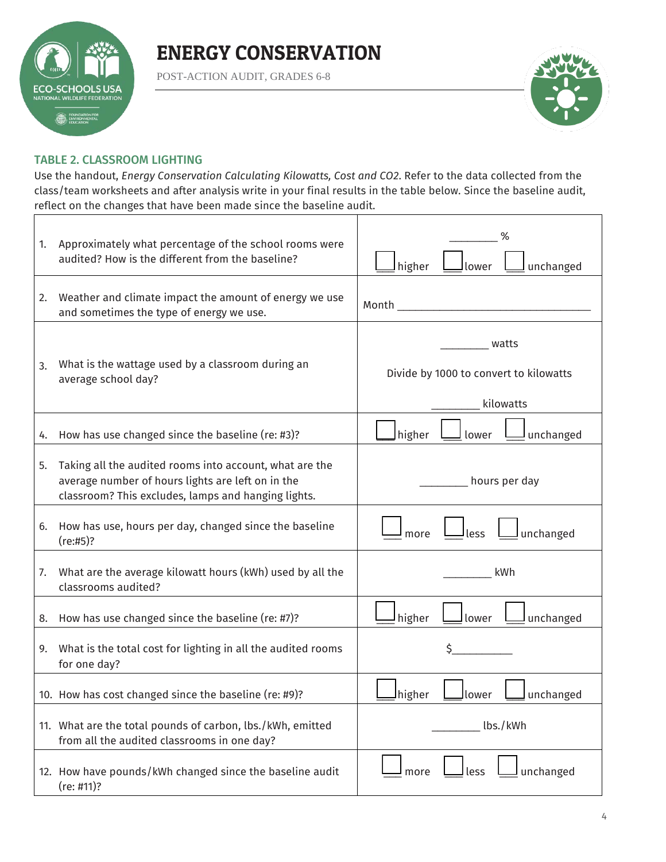

POST-ACTION AUDIT, GRADES 6-8



#### TABLE 2. CLASSROOM LIGHTING

Use the handout, *Energy Conservation Calculating Kilowatts, Cost and CO2*. Refer to the data collected from the class/team worksheets and after analysis write in your final results in the table below. Since the baseline audit, reflect on the changes that have been made since the baseline audit.

| 1. | Approximately what percentage of the school rooms were<br>audited? How is the different from the baseline?                                                          | higher<br>unchanged<br>llower                                                                                                                                                                                                       |
|----|---------------------------------------------------------------------------------------------------------------------------------------------------------------------|-------------------------------------------------------------------------------------------------------------------------------------------------------------------------------------------------------------------------------------|
| 2. | Weather and climate impact the amount of energy we use<br>and sometimes the type of energy we use.                                                                  | Month <b>Month</b> and the contract of the contract of the contract of the contract of the contract of the contract of the contract of the contract of the contract of the contract of the contract of the contract of the contract |
| 3. | What is the wattage used by a classroom during an<br>average school day?                                                                                            | watts<br>Divide by 1000 to convert to kilowatts<br>kilowatts                                                                                                                                                                        |
| 4. | How has use changed since the baseline (re: #3)?                                                                                                                    | higher<br>unchanged<br>lower                                                                                                                                                                                                        |
| 5. | Taking all the audited rooms into account, what are the<br>average number of hours lights are left on in the<br>classroom? This excludes, lamps and hanging lights. | hours per day                                                                                                                                                                                                                       |
| 6. | How has use, hours per day, changed since the baseline<br>(re:#5)?                                                                                                  | less<br>unchanged<br>more                                                                                                                                                                                                           |
| 7. | What are the average kilowatt hours (kWh) used by all the<br>classrooms audited?                                                                                    | kWh                                                                                                                                                                                                                                 |
| 8. | How has use changed since the baseline (re: #7)?                                                                                                                    | higher<br>unchanged<br>lower                                                                                                                                                                                                        |
| 9. | What is the total cost for lighting in all the audited rooms<br>for one day?                                                                                        | \$                                                                                                                                                                                                                                  |
|    | 10. How has cost changed since the baseline (re: #9)?                                                                                                               | Ihigher<br>unchanged<br>lower                                                                                                                                                                                                       |
|    | 11. What are the total pounds of carbon, lbs./kWh, emitted<br>from all the audited classrooms in one day?                                                           | lbs./kWh                                                                                                                                                                                                                            |
|    | 12. How have pounds/kWh changed since the baseline audit<br>(re: #11)?                                                                                              | unchanged<br>less<br>more                                                                                                                                                                                                           |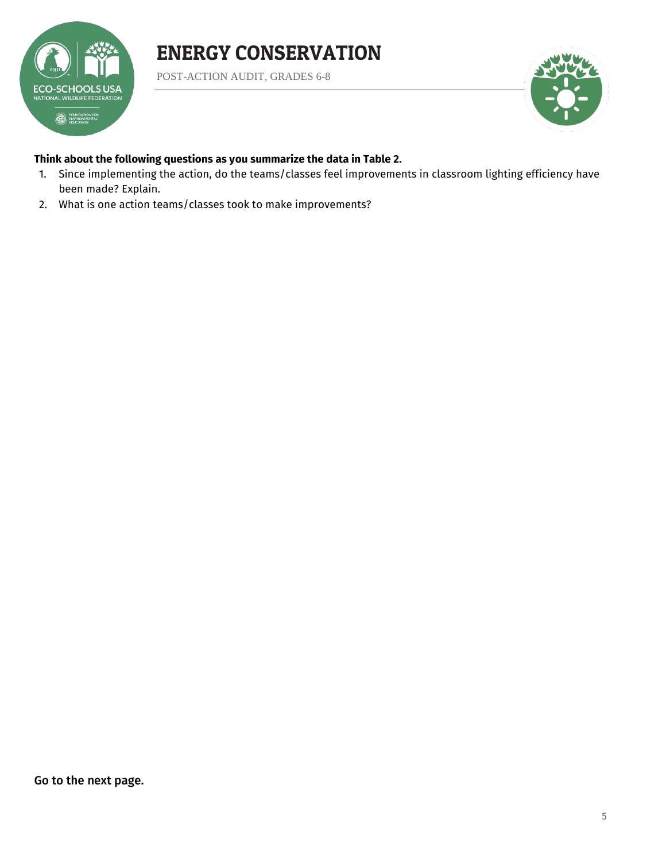

POST-ACTION AUDIT, GRADES 6-8



#### **Think about the following questions as you summarize the data in Table 2.**

- 1. Since implementing the action, do the teams/classes feel improvements in classroom lighting efficiency have been made? Explain.
- 2. What is one action teams/classes took to make improvements?

Go to the next page.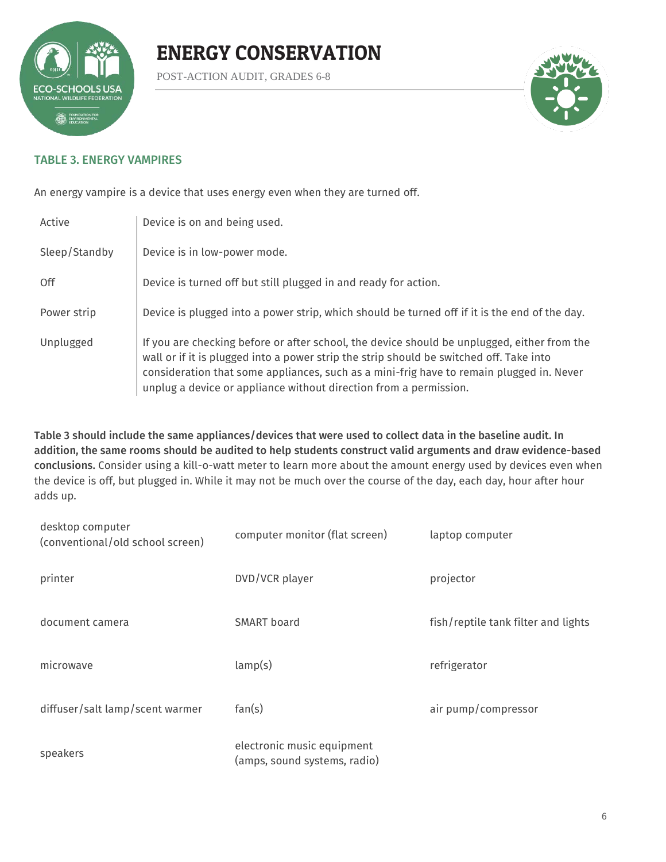

POST-ACTION AUDIT, GRADES 6-8



#### TABLE 3. ENERGY VAMPIRES

An energy vampire is a device that uses energy even when they are turned off.

| Active        | Device is on and being used.                                                                                                                                                                                                                                                                                                                            |
|---------------|---------------------------------------------------------------------------------------------------------------------------------------------------------------------------------------------------------------------------------------------------------------------------------------------------------------------------------------------------------|
| Sleep/Standby | Device is in low-power mode.                                                                                                                                                                                                                                                                                                                            |
| 0ff           | Device is turned off but still plugged in and ready for action.                                                                                                                                                                                                                                                                                         |
| Power strip   | Device is plugged into a power strip, which should be turned off if it is the end of the day.                                                                                                                                                                                                                                                           |
| Unplugged     | If you are checking before or after school, the device should be unplugged, either from the<br>wall or if it is plugged into a power strip the strip should be switched off. Take into<br>consideration that some appliances, such as a mini-frig have to remain plugged in. Never<br>unplug a device or appliance without direction from a permission. |

Table 3 should include the same appliances/devices that were used to collect data in the baseline audit. In addition, the same rooms should be audited to help students construct valid arguments and draw evidence-based conclusions. Consider using a kill-o-watt meter to learn more about the amount energy used by devices even when the device is off, but plugged in. While it may not be much over the course of the day, each day, hour after hour adds up.

| desktop computer<br>(conventional/old school screen) | computer monitor (flat screen)                             | laptop computer                     |
|------------------------------------------------------|------------------------------------------------------------|-------------------------------------|
| printer                                              | DVD/VCR player                                             | projector                           |
| document camera                                      | SMART board                                                | fish/reptile tank filter and lights |
| microwave                                            | lamp(s)                                                    | refrigerator                        |
| diffuser/salt lamp/scent warmer                      | fan(s)                                                     | air pump/compressor                 |
| speakers                                             | electronic music equipment<br>(amps, sound systems, radio) |                                     |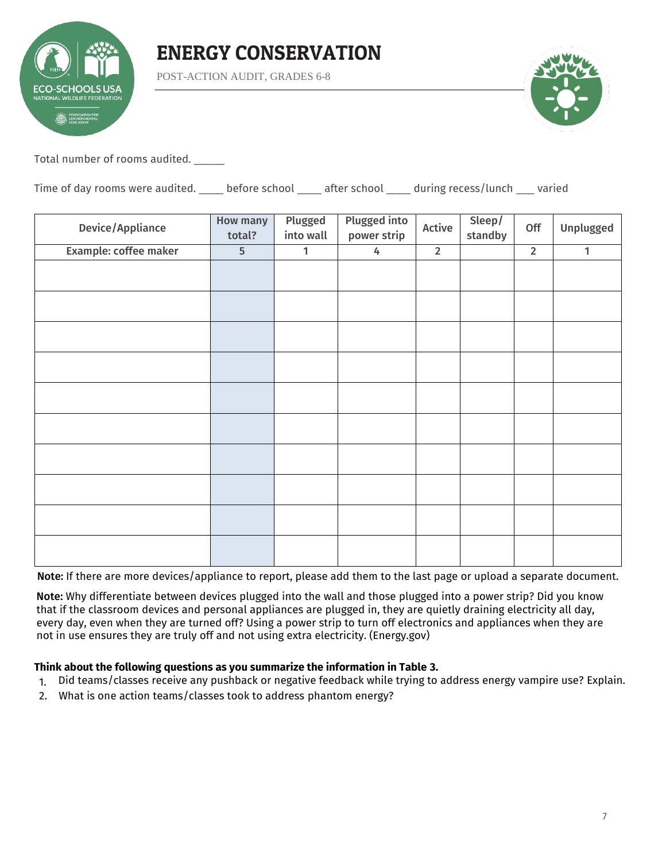

POST-ACTION AUDIT, GRADES 6-8



Total number of rooms audited. \_\_\_\_\_

Time of day rooms were audited. \_\_\_\_\_ before school \_\_\_\_\_ after school \_\_\_\_\_ during recess/lunch \_\_\_\_ varied

| <b>Device/Appliance</b> | <b>How many</b><br>total? | Plugged<br>into wall | <b>Plugged into</b><br>power strip | Active         | Sleep/<br>standby | Off            | Unplugged    |
|-------------------------|---------------------------|----------------------|------------------------------------|----------------|-------------------|----------------|--------------|
| Example: coffee maker   | $\overline{5}$            | $\mathbf{1}$         | 4                                  | $\overline{2}$ |                   | $\overline{2}$ | $\mathbf{1}$ |
|                         |                           |                      |                                    |                |                   |                |              |
|                         |                           |                      |                                    |                |                   |                |              |
|                         |                           |                      |                                    |                |                   |                |              |
|                         |                           |                      |                                    |                |                   |                |              |
|                         |                           |                      |                                    |                |                   |                |              |
|                         |                           |                      |                                    |                |                   |                |              |
|                         |                           |                      |                                    |                |                   |                |              |
|                         |                           |                      |                                    |                |                   |                |              |
|                         |                           |                      |                                    |                |                   |                |              |
|                         |                           |                      |                                    |                |                   |                |              |

Note: If there are more devices/appliance to report, please add them to the last page or upload a separate document.

Note: Why differentiate between devices plugged into the wall and those plugged into a power strip? Did you know that if the classroom devices and personal appliances are plugged in, they are quietly draining electricity all day, every day, even when they are turned off? Using a power strip to turn off electronics and appliances when they are not in use ensures they are truly off and not using extra electricity. (Energy.gov)

#### **Think about the following questions as you summarize the information in Table 3.**

- 1. Did teams/classes receive any pushback or negative feedback while trying to address energy vampire use? Explain.
- 2. What is one action teams/classes took to address phantom energy?